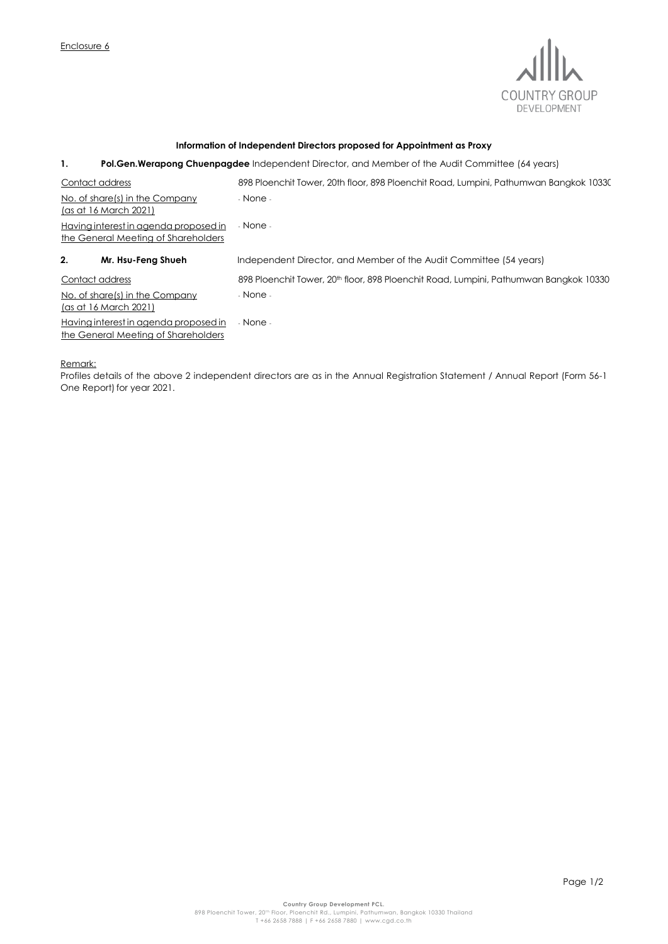

## **Information of Independent Directors proposed for Appointment as Proxy**

## **1. Pol.Gen.Werapong Chuenpagdee** Independent Director, and Member of the Audit Committee (64 years)

| Contact address                                                              | 898 Ploenchit Tower, 20th floor, 898 Ploenchit Road, Lumpini, Pathumwan Bangkok 10330             |
|------------------------------------------------------------------------------|---------------------------------------------------------------------------------------------------|
| No. of share(s) in the Company<br><u>(as at 16 March 2021)</u>               | - None -                                                                                          |
| Having interest in agenda proposed in<br>the General Meeting of Shareholders | - None -                                                                                          |
| 2.<br>Mr. Hsu-Feng Shueh                                                     | Independent Director, and Member of the Audit Committee (54 years)                                |
| Contact address                                                              | 898 Ploenchit Tower, 20 <sup>th</sup> floor, 898 Ploenchit Road, Lumpini, Pathumwan Bangkok 10330 |
| No. of share(s) in the Company<br>(as at 16 March 2021)                      | - None -                                                                                          |
| Having interest in agenda proposed in<br>the General Meeting of Shareholders | - None -                                                                                          |

Remark:

Profiles details of the above 2 independent directors are as in the Annual Registration Statement / Annual Report (Form 56-1 One Report) for year 2021.